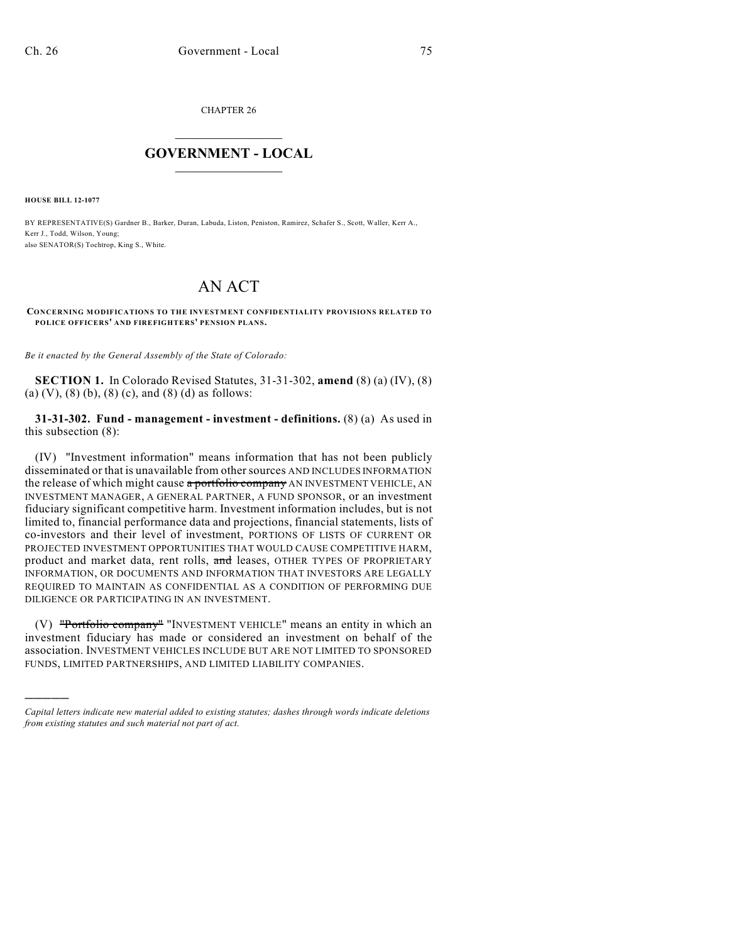CHAPTER 26

## $\overline{\phantom{a}}$  . The set of the set of the set of the set of the set of the set of the set of the set of the set of the set of the set of the set of the set of the set of the set of the set of the set of the set of the set o **GOVERNMENT - LOCAL**  $\_$

**HOUSE BILL 12-1077**

)))))

BY REPRESENTATIVE(S) Gardner B., Barker, Duran, Labuda, Liston, Peniston, Ramirez, Schafer S., Scott, Waller, Kerr A., Kerr J., Todd, Wilson, Young; also SENATOR(S) Tochtrop, King S., White.

## AN ACT

**CONCERNING MODIFICATIONS TO THE INVESTMENT CONFIDENTIALITY PROVISIONS RELATED TO POLICE OFFICERS' AND FIREFIGHTERS' PENSION PLANS.**

*Be it enacted by the General Assembly of the State of Colorado:*

**SECTION 1.** In Colorado Revised Statutes, 31-31-302, **amend** (8) (a) (IV), (8) (a) (V), (8) (b), (8) (c), and (8) (d) as follows:

**31-31-302. Fund - management - investment - definitions.** (8) (a) As used in this subsection (8):

(IV) "Investment information" means information that has not been publicly disseminated or that is unavailable from othersources AND INCLUDES INFORMATION the release of which might cause a portfolio company AN INVESTMENT VEHICLE, AN INVESTMENT MANAGER, A GENERAL PARTNER, A FUND SPONSOR, or an investment fiduciary significant competitive harm. Investment information includes, but is not limited to, financial performance data and projections, financial statements, lists of co-investors and their level of investment, PORTIONS OF LISTS OF CURRENT OR PROJECTED INVESTMENT OPPORTUNITIES THAT WOULD CAUSE COMPETITIVE HARM, product and market data, rent rolls, and leases, OTHER TYPES OF PROPRIETARY INFORMATION, OR DOCUMENTS AND INFORMATION THAT INVESTORS ARE LEGALLY REQUIRED TO MAINTAIN AS CONFIDENTIAL AS A CONDITION OF PERFORMING DUE DILIGENCE OR PARTICIPATING IN AN INVESTMENT.

(V) "Portfolio company" "INVESTMENT VEHICLE" means an entity in which an investment fiduciary has made or considered an investment on behalf of the association. INVESTMENT VEHICLES INCLUDE BUT ARE NOT LIMITED TO SPONSORED FUNDS, LIMITED PARTNERSHIPS, AND LIMITED LIABILITY COMPANIES.

*Capital letters indicate new material added to existing statutes; dashes through words indicate deletions from existing statutes and such material not part of act.*